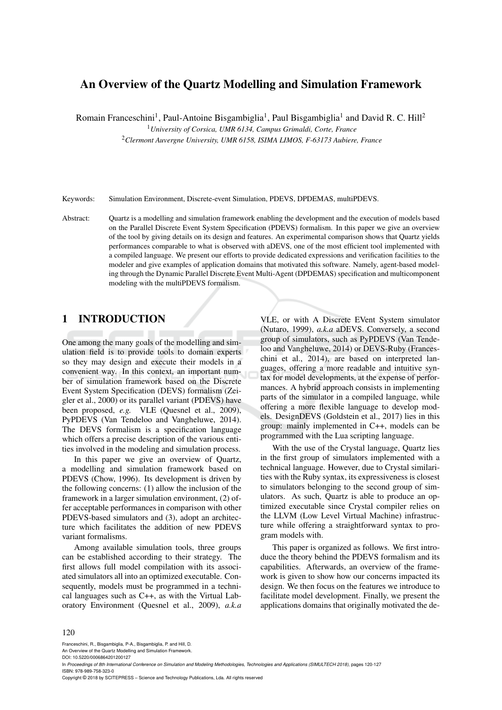# An Overview of the Quartz Modelling and Simulation Framework

Romain Franceschini<sup>1</sup>, Paul-Antoine Bisgambiglia<sup>1</sup>, Paul Bisgambiglia<sup>1</sup> and David R. C. Hill<sup>2</sup>

<sup>1</sup>*University of Corsica, UMR 6134, Campus Grimaldi, Corte, France*

<sup>2</sup>*Clermont Auvergne University, UMR 6158, ISIMA LIMOS, F-63173 Aubiere, France*

Keywords: Simulation Environment, Discrete-event Simulation, PDEVS, DPDEMAS, multiPDEVS.

Abstract: Quartz is a modelling and simulation framework enabling the development and the execution of models based on the Parallel Discrete Event System Specification (PDEVS) formalism. In this paper we give an overview of the tool by giving details on its design and features. An experimental comparison shows that Quartz yields performances comparable to what is observed with aDEVS, one of the most efficient tool implemented with a compiled language. We present our efforts to provide dedicated expressions and verification facilities to the modeler and give examples of application domains that motivated this software. Namely, agent-based modeling through the Dynamic Parallel Discrete Event Multi-Agent (DPDEMAS) specification and multicomponent modeling with the multiPDEVS formalism.

# 1 INTRODUCTION

One among the many goals of the modelling and simulation field is to provide tools to domain experts so they may design and execute their models in a convenient way. In this context, an important number of simulation framework based on the Discrete Event System Specification (DEVS) formalism (Zeigler et al., 2000) or its parallel variant (PDEVS) have been proposed, *e.g.* VLE (Quesnel et al., 2009), PyPDEVS (Van Tendeloo and Vangheluwe, 2014). The DEVS formalism is a specification language which offers a precise description of the various entities involved in the modeling and simulation process.

In this paper we give an overview of Quartz, a modelling and simulation framework based on PDEVS (Chow, 1996). Its development is driven by the following concerns: (1) allow the inclusion of the framework in a larger simulation environment, (2) offer acceptable performances in comparison with other PDEVS-based simulators and (3), adopt an architecture which facilitates the addition of new PDEVS variant formalisms.

Among available simulation tools, three groups can be established according to their strategy. The first allows full model compilation with its associated simulators all into an optimized executable. Consequently, models must be programmed in a technical languages such as C++, as with the Virtual Laboratory Environment (Quesnel et al., 2009), *a.k.a*

VLE, or with A Discrete EVent System simulator (Nutaro, 1999), *a.k.a* aDEVS. Conversely, a second group of simulators, such as PyPDEVS (Van Tendeloo and Vangheluwe, 2014) or DEVS-Ruby (Franceschini et al., 2014), are based on interpreted languages, offering a more readable and intuitive syntax for model developments, at the expense of performances. A hybrid approach consists in implementing parts of the simulator in a compiled language, while offering a more flexible language to develop models. DesignDEVS (Goldstein et al., 2017) lies in this group: mainly implemented in C++, models can be programmed with the Lua scripting language.

With the use of the Crystal language, Quartz lies in the first group of simulators implemented with a technical language. However, due to Crystal similarities with the Ruby syntax, its expressiveness is closest to simulators belonging to the second group of simulators. As such, Quartz is able to produce an optimized executable since Crystal compiler relies on the LLVM (Low Level Virtual Machine) infrastructure while offering a straightforward syntax to program models with.

This paper is organized as follows. We first introduce the theory behind the PDEVS formalism and its capabilities. Afterwards, an overview of the framework is given to show how our concerns impacted its design. We then focus on the features we introduce to facilitate model development. Finally, we present the applications domains that originally motivated the de-

#### 120

Franceschini, R., Bisgambiglia, P-A., Bisgambiglia, P. and Hill, D.

An Overview of the Quartz Modelling and Simulation Framework.

DOI: 10.5220/0006864201200127

In *Proceedings of 8th International Conference on Simulation and Modeling Methodologies, Technologies and Applications (SIMULTECH 2018)*, pages 120-127 ISBN: 978-989-758-323-0

Copyright © 2018 by SCITEPRESS – Science and Technology Publications, Lda. All rights reserved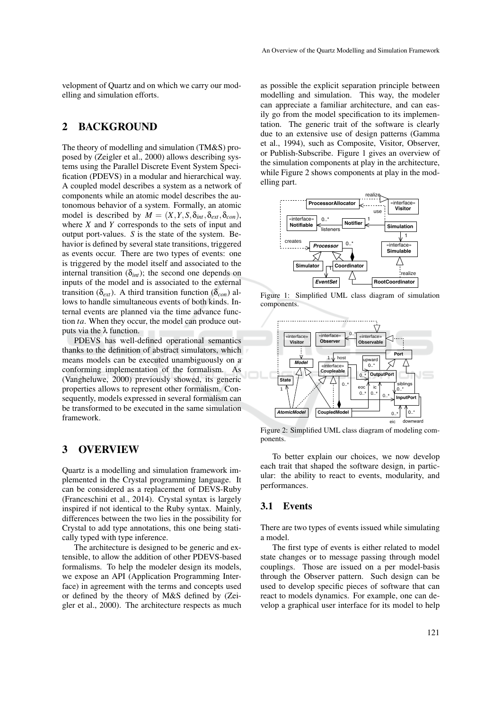velopment of Quartz and on which we carry our modelling and simulation efforts.

# 2 BACKGROUND

The theory of modelling and simulation (TM&S) proposed by (Zeigler et al., 2000) allows describing systems using the Parallel Discrete Event System Specification (PDEVS) in a modular and hierarchical way. A coupled model describes a system as a network of components while an atomic model describes the autonomous behavior of a system. Formally, an atomic model is described by  $M = (X, Y, S, \delta_{int}, \delta_{ext}, \delta_{cont})$ , where *X* and *Y* corresponds to the sets of input and output port-values. *S* is the state of the system. Behavior is defined by several state transitions, triggered as events occur. There are two types of events: one is triggered by the model itself and associated to the internal transition  $(\delta_{int})$ ; the second one depends on inputs of the model and is associated to the external transition ( $\delta_{ext}$ ). A third transition function ( $\delta_{con}$ ) allows to handle simultaneous events of both kinds. Internal events are planned via the time advance function *ta*. When they occur, the model can produce outputs via the λ function.

PDEVS has well-defined operational semantics thanks to the definition of abstract simulators, which means models can be executed unambiguously on a conforming implementation of the formalism. As (Vangheluwe, 2000) previously showed, its generic properties allows to represent other formalism. Consequently, models expressed in several formalism can be transformed to be executed in the same simulation framework.

## 3 OVERVIEW

Quartz is a modelling and simulation framework implemented in the Crystal programming language. It can be considered as a replacement of DEVS-Ruby (Franceschini et al., 2014). Crystal syntax is largely inspired if not identical to the Ruby syntax. Mainly, differences between the two lies in the possibility for Crystal to add type annotations, this one being statically typed with type inference.

The architecture is designed to be generic and extensible, to allow the addition of other PDEVS-based formalisms. To help the modeler design its models, we expose an API (Application Programming Interface) in agreement with the terms and concepts used or defined by the theory of M&S defined by (Zeigler et al., 2000). The architecture respects as much

as possible the explicit separation principle between modelling and simulation. This way, the modeler can appreciate a familiar architecture, and can easily go from the model specification to its implementation. The generic trait of the software is clearly due to an extensive use of design patterns (Gamma et al., 1994), such as Composite, Visitor, Observer, or Publish-Subscribe. Figure 1 gives an overview of the simulation components at play in the architecture, while Figure 2 shows components at play in the modelling part.



Figure 1: Simplified UML class diagram of simulation components.



Figure 2: Simplified UML class diagram of modeling components.

To better explain our choices, we now develop each trait that shaped the software design, in particular: the ability to react to events, modularity, and performances.

### 3.1 Events

There are two types of events issued while simulating a model.

The first type of events is either related to model state changes or to message passing through model couplings. Those are issued on a per model-basis through the Observer pattern. Such design can be used to develop specific pieces of software that can react to models dynamics. For example, one can develop a graphical user interface for its model to help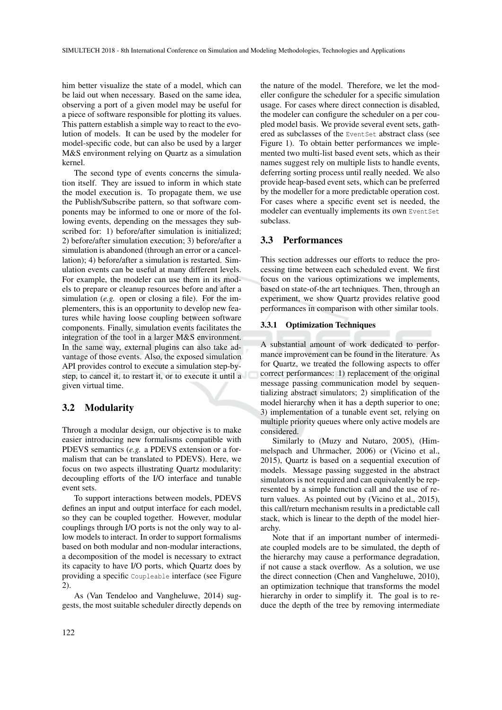him better visualize the state of a model, which can be laid out when necessary. Based on the same idea, observing a port of a given model may be useful for a piece of software responsible for plotting its values. This pattern establish a simple way to react to the evolution of models. It can be used by the modeler for model-specific code, but can also be used by a larger M&S environment relying on Quartz as a simulation kernel.

The second type of events concerns the simulation itself. They are issued to inform in which state the model execution is. To propagate them, we use the Publish/Subscribe pattern, so that software components may be informed to one or more of the following events, depending on the messages they subscribed for: 1) before/after simulation is initialized; 2) before/after simulation execution; 3) before/after a simulation is abandoned (through an error or a cancellation); 4) before/after a simulation is restarted. Simulation events can be useful at many different levels. For example, the modeler can use them in its models to prepare or cleanup resources before and after a simulation (*e.g.* open or closing a file). For the implementers, this is an opportunity to develop new features while having loose coupling between software components. Finally, simulation events facilitates the integration of the tool in a larger M&S environment. In the same way, external plugins can also take advantage of those events. Also, the exposed simulation API provides control to execute a simulation step-bystep, to cancel it, to restart it, or to execute it until a given virtual time.

## 3.2 Modularity

Through a modular design, our objective is to make easier introducing new formalisms compatible with PDEVS semantics (*e.g.* a PDEVS extension or a formalism that can be translated to PDEVS). Here, we focus on two aspects illustrating Quartz modularity: decoupling efforts of the I/O interface and tunable event sets.

To support interactions between models, PDEVS defines an input and output interface for each model, so they can be coupled together. However, modular couplings through I/O ports is not the only way to allow models to interact. In order to support formalisms based on both modular and non-modular interactions, a decomposition of the model is necessary to extract its capacity to have I/O ports, which Quartz does by providing a specific Coupleable interface (see Figure 2).

As (Van Tendeloo and Vangheluwe, 2014) suggests, the most suitable scheduler directly depends on

the nature of the model. Therefore, we let the modeller configure the scheduler for a specific simulation usage. For cases where direct connection is disabled, the modeler can configure the scheduler on a per coupled model basis. We provide several event sets, gathered as subclasses of the EventSet abstract class (see Figure 1). To obtain better performances we implemented two multi-list based event sets, which as their names suggest rely on multiple lists to handle events, deferring sorting process until really needed. We also provide heap-based event sets, which can be preferred by the modeller for a more predictable operation cost. For cases where a specific event set is needed, the modeler can eventually implements its own EventSet subclass.

## 3.3 Performances

This section addresses our efforts to reduce the processing time between each scheduled event. We first focus on the various optimizations we implements, based on state-of-the art techniques. Then, through an experiment, we show Quartz provides relative good performances in comparison with other similar tools.

## 3.3.1 Optimization Techniques

A substantial amount of work dedicated to performance improvement can be found in the literature. As for Quartz, we treated the following aspects to offer correct performances: 1) replacement of the original message passing communication model by sequentializing abstract simulators; 2) simplification of the model hierarchy when it has a depth superior to one; 3) implementation of a tunable event set, relying on multiple priority queues where only active models are considered.

Similarly to (Muzy and Nutaro, 2005), (Himmelspach and Uhrmacher, 2006) or (Vicino et al., 2015), Quartz is based on a sequential execution of models. Message passing suggested in the abstract simulators is not required and can equivalently be represented by a simple function call and the use of return values. As pointed out by (Vicino et al., 2015), this call/return mechanism results in a predictable call stack, which is linear to the depth of the model hierarchy.

Note that if an important number of intermediate coupled models are to be simulated, the depth of the hierarchy may cause a performance degradation, if not cause a stack overflow. As a solution, we use the direct connection (Chen and Vangheluwe, 2010), an optimization technique that transforms the model hierarchy in order to simplify it. The goal is to reduce the depth of the tree by removing intermediate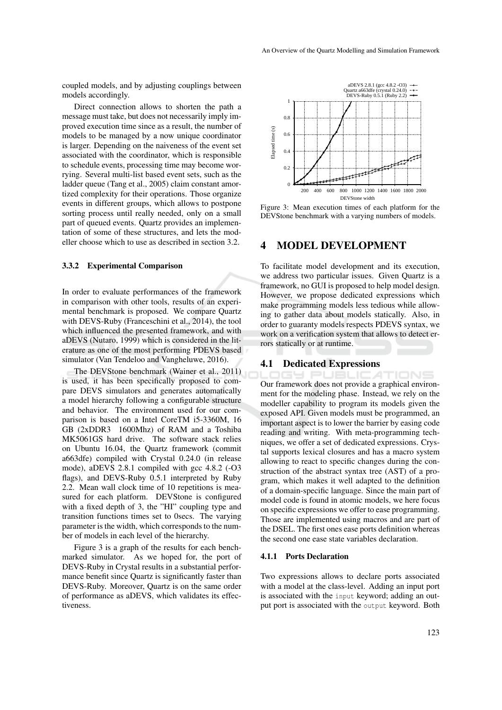coupled models, and by adjusting couplings between models accordingly.

Direct connection allows to shorten the path a message must take, but does not necessarily imply improved execution time since as a result, the number of models to be managed by a now unique coordinator is larger. Depending on the naiveness of the event set associated with the coordinator, which is responsible to schedule events, processing time may become worrying. Several multi-list based event sets, such as the ladder queue (Tang et al., 2005) claim constant amortized complexity for their operations. Those organize events in different groups, which allows to postpone sorting process until really needed, only on a small part of queued events. Quartz provides an implementation of some of these structures, and lets the modeller choose which to use as described in section 3.2.

### 3.3.2 Experimental Comparison

In order to evaluate performances of the framework in comparison with other tools, results of an experimental benchmark is proposed. We compare Quartz with DEVS-Ruby (Franceschini et al., 2014), the tool which influenced the presented framework, and with aDEVS (Nutaro, 1999) which is considered in the literature as one of the most performing PDEVS based simulator (Van Tendeloo and Vangheluwe, 2016).

The DEVStone benchmark (Wainer et al., 2011) is used, it has been specifically proposed to compare DEVS simulators and generates automatically a model hierarchy following a configurable structure and behavior. The environment used for our comparison is based on a Intel CoreTM i5-3360M, 16 GB (2xDDR3 1600Mhz) of RAM and a Toshiba MK5061GS hard drive. The software stack relies on Ubuntu 16.04, the Quartz framework (commit a663dfe) compiled with Crystal 0.24.0 (in release mode), aDEVS 2.8.1 compiled with gcc 4.8.2 (-O3 flags), and DEVS-Ruby 0.5.1 interpreted by Ruby 2.2. Mean wall clock time of 10 repetitions is measured for each platform. DEVStone is configured with a fixed depth of 3, the "HI" coupling type and transition functions times set to 0secs. The varying parameter is the width, which corresponds to the number of models in each level of the hierarchy.

Figure 3 is a graph of the results for each benchmarked simulator. As we hoped for, the port of DEVS-Ruby in Crystal results in a substantial performance benefit since Quartz is significantly faster than DEVS-Ruby. Moreover, Quartz is on the same order of performance as aDEVS, which validates its effectiveness.



Figure 3: Mean execution times of each platform for the DEVStone benchmark with a varying numbers of models.

## 4 MODEL DEVELOPMENT

To facilitate model development and its execution, we address two particular issues. Given Quartz is a framework, no GUI is proposed to help model design. However, we propose dedicated expressions which make programming models less tedious while allowing to gather data about models statically. Also, in order to guaranty models respects PDEVS syntax, we work on a verification system that allows to detect errors statically or at runtime.

### 4.1 Dedicated Expressions

TIONS Our framework does not provide a graphical environment for the modeling phase. Instead, we rely on the modeller capability to program its models given the exposed API. Given models must be programmed, an important aspect is to lower the barrier by easing code reading and writing. With meta-programming techniques, we offer a set of dedicated expressions. Crystal supports lexical closures and has a macro system allowing to react to specific changes during the construction of the abstract syntax tree (AST) of a program, which makes it well adapted to the definition of a domain-specific language. Since the main part of model code is found in atomic models, we here focus on specific expressions we offer to ease programming. Those are implemented using macros and are part of the DSEL. The first ones ease ports definition whereas the second one ease state variables declaration.

#### 4.1.1 Ports Declaration

Two expressions allows to declare ports associated with a model at the class-level. Adding an input port is associated with the input keyword; adding an output port is associated with the output keyword. Both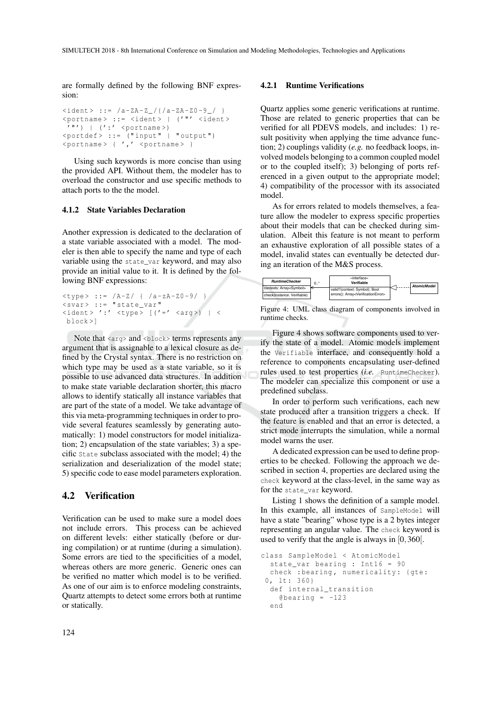are formally defined by the following BNF expression:

```
\langleident > ::= /a-ZA-Z_/{/a-ZA-Z0-9_/ }
<portname> ::= <ident> | ('"' <ident>
 ' " ' ) | ' :' <portname >)
\text{Yportdef} > :: = ("input" | "output")
\langle portname > { \langle , \langle \rangle \langle portname > }
```
Using such keywords is more concise than using the provided API. Without them, the modeler has to overload the constructor and use specific methods to attach ports to the the model.

#### 4.1.2 State Variables Declaration

Another expression is dedicated to the declaration of a state variable associated with a model. The modeler is then able to specify the name and type of each variable using the state\_var keyword, and may also provide an initial value to it. It is defined by the following BNF expressions:

```
\langletype> ::= /A-Z/ { /a-zA-Z0-9/ }
<svar> ::= "state_var"
\langleident>':' \langletype> [('=' \langlearg>) | \langleblock >]
```
Note that  $\langle \text{arg} \rangle$  and  $\langle \text{block} \rangle$  terms represents any argument that is assignable to a lexical closure as defined by the Crystal syntax. There is no restriction on which type may be used as a state variable, so it is possible to use advanced data structures. In addition to make state variable declaration shorter, this macro allows to identify statically all instance variables that are part of the state of a model. We take advantage of this via meta-programming techniques in order to provide several features seamlessly by generating automatically: 1) model constructors for model initialization; 2) encapsulation of the state variables; 3) a specific State subclass associated with the model; 4) the serialization and deserialization of the model state; 5) specific code to ease model parameters exploration.

## 4.2 Verification

Verification can be used to make sure a model does not include errors. This process can be achieved on different levels: either statically (before or during compilation) or at runtime (during a simulation). Some errors are tied to the specificities of a model, whereas others are more generic. Generic ones can be verified no matter which model is to be verified. As one of our aim is to enforce modeling constraints, Quartz attempts to detect some errors both at runtime or statically.

### 4.2.1 Runtime Verifications

Quartz applies some generic verifications at runtime. Those are related to generic properties that can be verified for all PDEVS models, and includes: 1) result positivity when applying the time advance function; 2) couplings validity (*e.g.* no feedback loops, involved models belonging to a common coupled model or to the coupled itself); 3) belonging of ports referenced in a given output to the appropriate model; 4) compatibility of the processor with its associated model.

As for errors related to models themselves, a feature allow the modeler to express specific properties about their models that can be checked during simulation. Albeit this feature is not meant to perform an exhaustive exploration of all possible states of a model, invalid states can eventually be detected during an iteration of the M&S process.



Figure 4: UML class diagram of components involved in runtime checks.

Figure 4 shows software components used to verify the state of a model. Atomic models implement the Verifiable interface, and consequently hold a reference to components encapsulating user-defined rules used to test properties (*i.e.* RuntimeChecker). The modeler can specialize this component or use a predefined subclass.

In order to perform such verifications, each new state produced after a transition triggers a check. If the feature is enabled and that an error is detected, a strict mode interrupts the simulation, while a normal model warns the user.

A dedicated expression can be used to define properties to be checked. Following the approach we described in section 4, properties are declared using the check keyword at the class-level, in the same way as for the state\_var keyword.

Listing 1 shows the definition of a sample model. In this example, all instances of SampleModel will have a state "bearing" whose type is a 2 bytes integer representing an angular value. The check keyword is used to verify that the angle is always in [0,360[.

```
class SampleModel < AtomicModel
 state_var bearing : Int16 = 90
  check : bearing, numericality: { gte:
0, lt: 360}
 def internal_transition
   \thetabearing = -123end
```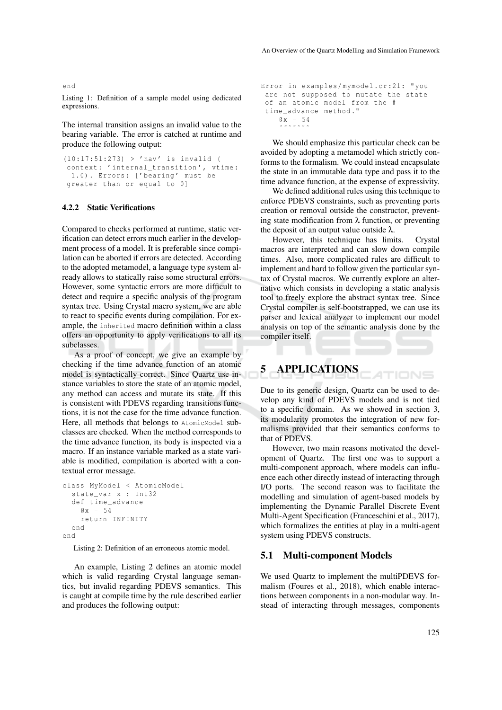Listing 1: Definition of a sample model using dedicated expressions.

The internal transition assigns an invalid value to the bearing variable. The error is catched at runtime and produce the following output:

```
(10:17:51:273) > 'nav ' is invalid (
context: 'internal_transition', vtime:
 1.0). Errors: ['bearing' must be
greater than or equal to 0]
```
#### 4.2.2 Static Verifications

Compared to checks performed at runtime, static verification can detect errors much earlier in the development process of a model. It is preferable since compilation can be aborted if errors are detected. According to the adopted metamodel, a language type system already allows to statically raise some structural errors. However, some syntactic errors are more difficult to detect and require a specific analysis of the program syntax tree. Using Crystal macro system, we are able to react to specific events during compilation. For example, the inherited macro definition within a class offers an opportunity to apply verifications to all its subclasses.

As a proof of concept, we give an example by checking if the time advance function of an atomic model is syntactically correct. Since Quartz use instance variables to store the state of an atomic model, any method can access and mutate its state. If this is consistent with PDEVS regarding transitions functions, it is not the case for the time advance function. Here, all methods that belongs to AtomicModel subclasses are checked. When the method corresponds to the time advance function, its body is inspected via a macro. If an instance variable marked as a state variable is modified, compilation is aborted with a contextual error message.

```
class MyModel < AtomicModel
  state_var x : Int32
  def time_advance
    Qx = 54return INFINITY
  end
end
```
Listing 2: Definition of an erroneous atomic model.

An example, Listing 2 defines an atomic model which is valid regarding Crystal language semantics, but invalid regarding PDEVS semantics. This is caught at compile time by the rule described earlier and produces the following output:

```
Error in examples / mymodel . cr :21: " you
are not supposed to mutate the state
of an atomic model from the #
time_advance method ."
    Q x = 54ˆ˜˜˜˜˜˜
```
We should emphasize this particular check can be avoided by adopting a metamodel which strictly conforms to the formalism. We could instead encapsulate the state in an immutable data type and pass it to the time advance function, at the expense of expressivity.

We defined additional rules using this technique to enforce PDEVS constraints, such as preventing ports creation or removal outside the constructor, preventing state modification from  $\lambda$  function, or preventing the deposit of an output value outside  $\lambda$ .

However, this technique has limits. Crystal macros are interpreted and can slow down compile times. Also, more complicated rules are difficult to implement and hard to follow given the particular syntax of Crystal macros. We currently explore an alternative which consists in developing a static analysis tool to freely explore the abstract syntax tree. Since Crystal compiler is self-bootstrapped, we can use its parser and lexical analyzer to implement our model analysis on top of the semantic analysis done by the compiler itself.

# 5 APPLICATIONS

Due to its generic design, Quartz can be used to develop any kind of PDEVS models and is not tied to a specific domain. As we showed in section 3, its modularity promotes the integration of new formalisms provided that their semantics conforms to that of PDEVS.

However, two main reasons motivated the development of Quartz. The first one was to support a multi-component approach, where models can influence each other directly instead of interacting through I/O ports. The second reason was to facilitate the modelling and simulation of agent-based models by implementing the Dynamic Parallel Discrete Event Multi-Agent Specification (Franceschini et al., 2017), which formalizes the entities at play in a multi-agent system using PDEVS constructs.

#### 5.1 Multi-component Models

We used Quartz to implement the multiPDEVS formalism (Foures et al., 2018), which enable interactions between components in a non-modular way. Instead of interacting through messages, components

#### end

125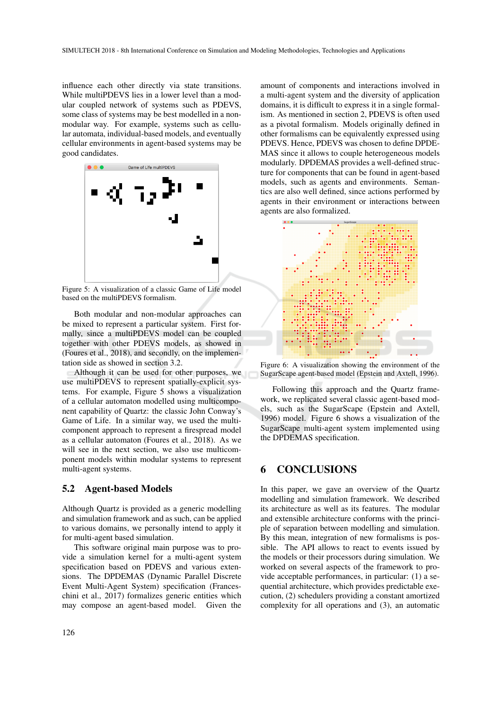influence each other directly via state transitions. While multiPDEVS lies in a lower level than a modular coupled network of systems such as PDEVS, some class of systems may be best modelled in a nonmodular way. For example, systems such as cellular automata, individual-based models, and eventually cellular environments in agent-based systems may be good candidates.



Figure 5: A visualization of a classic Game of Life model based on the multiPDEVS formalism.

Both modular and non-modular approaches can be mixed to represent a particular system. First formally, since a multiPDEVS model can be coupled together with other PDEVS models, as showed in (Foures et al., 2018), and secondly, on the implementation side as showed in section 3.2.

Although it can be used for other purposes, we use multiPDEVS to represent spatially-explicit systems. For example, Figure 5 shows a visualization of a cellular automaton modelled using multicomponent capability of Quartz: the classic John Conway's Game of Life. In a similar way, we used the multicomponent approach to represent a firespread model as a cellular automaton (Foures et al., 2018). As we will see in the next section, we also use multicomponent models within modular systems to represent multi-agent systems.

### 5.2 Agent-based Models

Although Quartz is provided as a generic modelling and simulation framework and as such, can be applied to various domains, we personally intend to apply it for multi-agent based simulation.

This software original main purpose was to provide a simulation kernel for a multi-agent system specification based on PDEVS and various extensions. The DPDEMAS (Dynamic Parallel Discrete Event Multi-Agent System) specification (Franceschini et al., 2017) formalizes generic entities which may compose an agent-based model. Given the

a multi-agent system and the diversity of application domains, it is difficult to express it in a single formalism. As mentioned in section 2, PDEVS is often used as a pivotal formalism. Models originally defined in other formalisms can be equivalently expressed using PDEVS. Hence, PDEVS was chosen to define DPDE-MAS since it allows to couple heterogeneous models modularly. DPDEMAS provides a well-defined structure for components that can be found in agent-based models, such as agents and environments. Semantics are also well defined, since actions performed by agents in their environment or interactions between agents are also formalized.

amount of components and interactions involved in



Figure 6: A visualization showing the environment of the SugarScape agent-based model (Epstein and Axtell, 1996).

Following this approach and the Quartz framework, we replicated several classic agent-based models, such as the SugarScape (Epstein and Axtell, 1996) model. Figure 6 shows a visualization of the SugarScape multi-agent system implemented using the DPDEMAS specification.

## 6 CONCLUSIONS

In this paper, we gave an overview of the Quartz modelling and simulation framework. We described its architecture as well as its features. The modular and extensible architecture conforms with the principle of separation between modelling and simulation. By this mean, integration of new formalisms is possible. The API allows to react to events issued by the models or their processors during simulation. We worked on several aspects of the framework to provide acceptable performances, in particular: (1) a sequential architecture, which provides predictable execution, (2) schedulers providing a constant amortized complexity for all operations and (3), an automatic